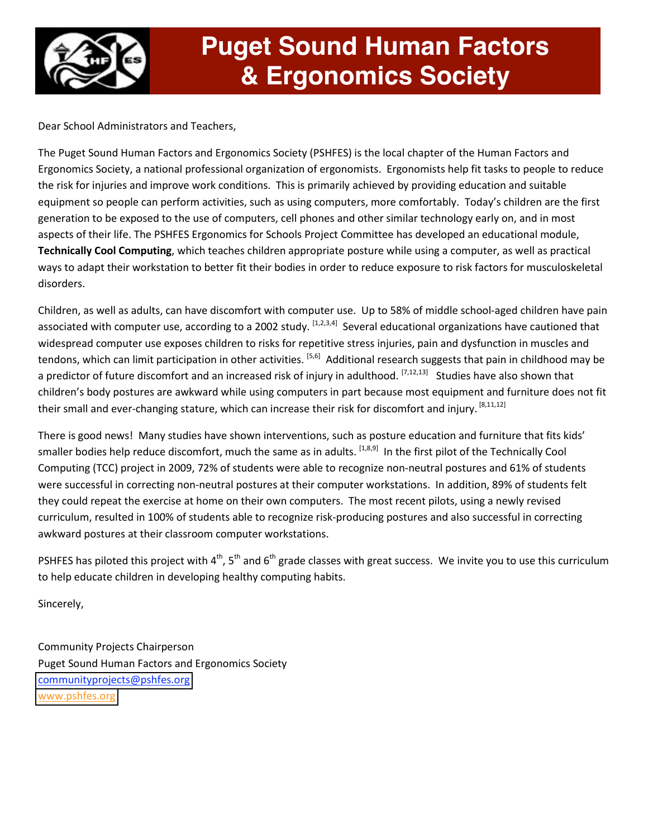

## **Puget Sound Human Factors & Ergonomics Society**

Dear School Administrators and Teachers,

The Puget Sound Human Factors and Ergonomics Society (PSHFES) is the local chapter of the Human Factors and Ergonomics Society, a national professional organization of ergonomists. Ergonomists help fit tasks to people to reduce the risk for injuries and improve work conditions. This is primarily achieved by providing education and suitable equipment so people can perform activities, such as using computers, more comfortably. Today's children are the first generation to be exposed to the use of computers, cell phones and other similar technology early on, and in most aspects of their life. The PSHFES Ergonomics for Schools Project Committee has developed an educational module, **Technically Cool Computing**, which teaches children appropriate posture while using a computer, as well as practical ways to adapt their workstation to better fit their bodies in order to reduce exposure to risk factors for musculoskeletal disorders.

Children, as well as adults, can have discomfort with computer use. Up to 58% of middle school‐aged children have pain associated with computer use, according to a 2002 study.  $[1,2,3,4]$  Several educational organizations have cautioned that widespread computer use exposes children to risks for repetitive stress injuries, pain and dysfunction in muscles and tendons, which can limit participation in other activities. <sup>[5,6]</sup> Additional research suggests that pain in childhood may be a predictor of future discomfort and an increased risk of injury in adulthood.  $[7,12,13]$  Studies have also shown that children's body postures are awkward while using computers in part because most equipment and furniture does not fit their small and ever-changing stature, which can increase their risk for discomfort and injury. <sup>[8,11,12]</sup>

There is good news! Many studies have shown interventions, such as posture education and furniture that fits kids' smaller bodies help reduce discomfort, much the same as in adults. [1,8,9] In the first pilot of the Technically Cool Computing (TCC) project in 2009, 72% of students were able to recognize non‐neutral postures and 61% of students were successful in correcting non-neutral postures at their computer workstations. In addition, 89% of students felt they could repeat the exercise at home on their own computers. The most recent pilots, using a newly revised curriculum, resulted in 100% of students able to recognize risk‐producing postures and also successful in correcting awkward postures at their classroom computer workstations.

PSHFES has piloted this project with  $4<sup>th</sup>$ , 5<sup>th</sup> and 6<sup>th</sup> grade classes with great success. We invite you to use this curriculum to help educate children in developing healthy computing habits.

Sincerely,

Community Projects Chairperson Puget Sound Human Factors and Ergonomics Society [communityprojects@pshfes.org](mailto:communityprojects@pshfes.org) [www.pshfes.org](http://www.pshfes.org/)